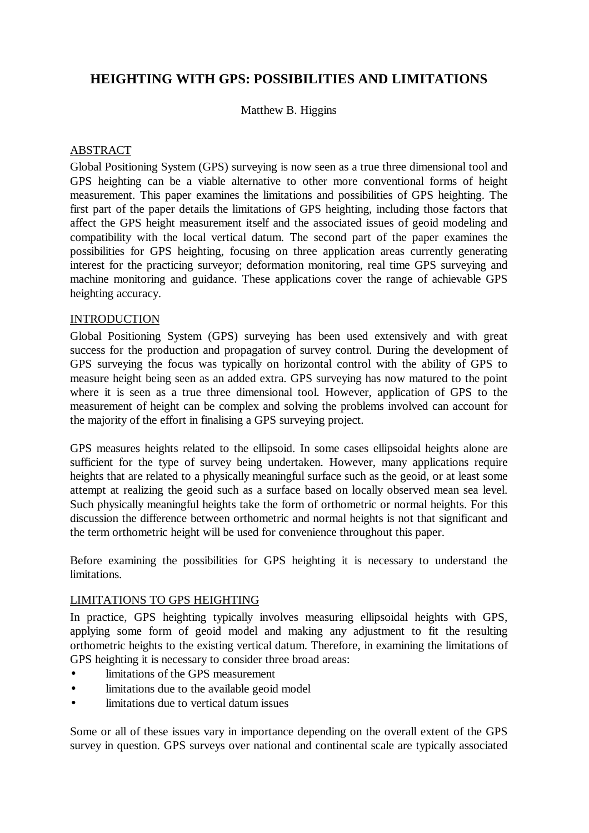# **HEIGHTING WITH GPS: POSSIBILITIES AND LIMITATIONS**

Matthew B. Higgins

# ABSTRACT

Global Positioning System (GPS) surveying is now seen as a true three dimensional tool and GPS heighting can be a viable alternative to other more conventional forms of height measurement. This paper examines the limitations and possibilities of GPS heighting. The first part of the paper details the limitations of GPS heighting, including those factors that affect the GPS height measurement itself and the associated issues of geoid modeling and compatibility with the local vertical datum. The second part of the paper examines the possibilities for GPS heighting, focusing on three application areas currently generating interest for the practicing surveyor; deformation monitoring, real time GPS surveying and machine monitoring and guidance. These applications cover the range of achievable GPS heighting accuracy.

# INTRODUCTION

Global Positioning System (GPS) surveying has been used extensively and with great success for the production and propagation of survey control. During the development of GPS surveying the focus was typically on horizontal control with the ability of GPS to measure height being seen as an added extra. GPS surveying has now matured to the point where it is seen as a true three dimensional tool. However, application of GPS to the measurement of height can be complex and solving the problems involved can account for the majority of the effort in finalising a GPS surveying project.

GPS measures heights related to the ellipsoid. In some cases ellipsoidal heights alone are sufficient for the type of survey being undertaken. However, many applications require heights that are related to a physically meaningful surface such as the geoid, or at least some attempt at realizing the geoid such as a surface based on locally observed mean sea level. Such physically meaningful heights take the form of orthometric or normal heights. For this discussion the difference between orthometric and normal heights is not that significant and the term orthometric height will be used for convenience throughout this paper.

Before examining the possibilities for GPS heighting it is necessary to understand the limitations.

# LIMITATIONS TO GPS HEIGHTING

In practice, GPS heighting typically involves measuring ellipsoidal heights with GPS, applying some form of geoid model and making any adjustment to fit the resulting orthometric heights to the existing vertical datum. Therefore, in examining the limitations of GPS heighting it is necessary to consider three broad areas:

- limitations of the GPS measurement
- limitations due to the available geoid model
- limitations due to vertical datum issues

Some or all of these issues vary in importance depending on the overall extent of the GPS survey in question. GPS surveys over national and continental scale are typically associated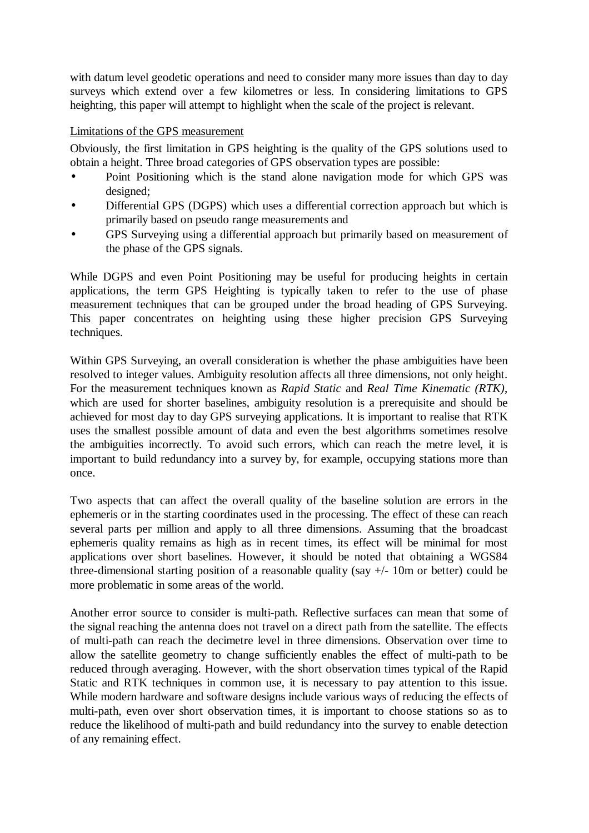with datum level geodetic operations and need to consider many more issues than day to day surveys which extend over a few kilometres or less. In considering limitations to GPS heighting, this paper will attempt to highlight when the scale of the project is relevant.

### Limitations of the GPS measurement

Obviously, the first limitation in GPS heighting is the quality of the GPS solutions used to obtain a height. Three broad categories of GPS observation types are possible:

- Point Positioning which is the stand alone navigation mode for which GPS was designed;
- Differential GPS (DGPS) which uses a differential correction approach but which is primarily based on pseudo range measurements and
- GPS Surveying using a differential approach but primarily based on measurement of the phase of the GPS signals.

While DGPS and even Point Positioning may be useful for producing heights in certain applications, the term GPS Heighting is typically taken to refer to the use of phase measurement techniques that can be grouped under the broad heading of GPS Surveying. This paper concentrates on heighting using these higher precision GPS Surveying techniques.

Within GPS Surveying, an overall consideration is whether the phase ambiguities have been resolved to integer values. Ambiguity resolution affects all three dimensions, not only height. For the measurement techniques known as *Rapid Static* and *Real Time Kinematic (RTK)*, which are used for shorter baselines, ambiguity resolution is a prerequisite and should be achieved for most day to day GPS surveying applications. It is important to realise that RTK uses the smallest possible amount of data and even the best algorithms sometimes resolve the ambiguities incorrectly. To avoid such errors, which can reach the metre level, it is important to build redundancy into a survey by, for example, occupying stations more than once.

Two aspects that can affect the overall quality of the baseline solution are errors in the ephemeris or in the starting coordinates used in the processing. The effect of these can reach several parts per million and apply to all three dimensions. Assuming that the broadcast ephemeris quality remains as high as in recent times, its effect will be minimal for most applications over short baselines. However, it should be noted that obtaining a WGS84 three-dimensional starting position of a reasonable quality (say +/- 10m or better) could be more problematic in some areas of the world.

Another error source to consider is multi-path. Reflective surfaces can mean that some of the signal reaching the antenna does not travel on a direct path from the satellite. The effects of multi-path can reach the decimetre level in three dimensions. Observation over time to allow the satellite geometry to change sufficiently enables the effect of multi-path to be reduced through averaging. However, with the short observation times typical of the Rapid Static and RTK techniques in common use, it is necessary to pay attention to this issue. While modern hardware and software designs include various ways of reducing the effects of multi-path, even over short observation times, it is important to choose stations so as to reduce the likelihood of multi-path and build redundancy into the survey to enable detection of any remaining effect.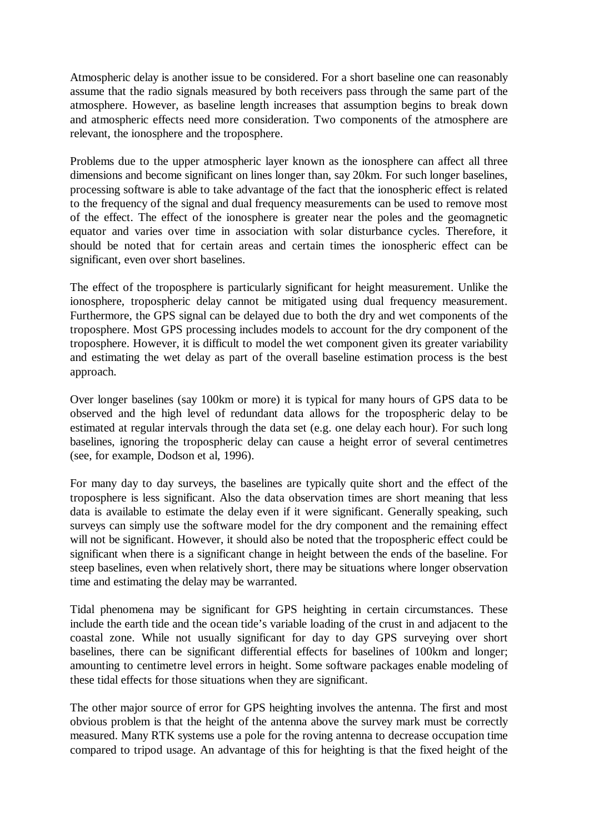Atmospheric delay is another issue to be considered. For a short baseline one can reasonably assume that the radio signals measured by both receivers pass through the same part of the atmosphere. However, as baseline length increases that assumption begins to break down and atmospheric effects need more consideration. Two components of the atmosphere are relevant, the ionosphere and the troposphere.

Problems due to the upper atmospheric layer known as the ionosphere can affect all three dimensions and become significant on lines longer than, say 20km. For such longer baselines, processing software is able to take advantage of the fact that the ionospheric effect is related to the frequency of the signal and dual frequency measurements can be used to remove most of the effect. The effect of the ionosphere is greater near the poles and the geomagnetic equator and varies over time in association with solar disturbance cycles. Therefore, it should be noted that for certain areas and certain times the ionospheric effect can be significant, even over short baselines.

The effect of the troposphere is particularly significant for height measurement. Unlike the ionosphere, tropospheric delay cannot be mitigated using dual frequency measurement. Furthermore, the GPS signal can be delayed due to both the dry and wet components of the troposphere. Most GPS processing includes models to account for the dry component of the troposphere. However, it is difficult to model the wet component given its greater variability and estimating the wet delay as part of the overall baseline estimation process is the best approach.

Over longer baselines (say 100km or more) it is typical for many hours of GPS data to be observed and the high level of redundant data allows for the tropospheric delay to be estimated at regular intervals through the data set (e.g. one delay each hour). For such long baselines, ignoring the tropospheric delay can cause a height error of several centimetres (see, for example, Dodson et al, 1996).

For many day to day surveys, the baselines are typically quite short and the effect of the troposphere is less significant. Also the data observation times are short meaning that less data is available to estimate the delay even if it were significant. Generally speaking, such surveys can simply use the software model for the dry component and the remaining effect will not be significant. However, it should also be noted that the tropospheric effect could be significant when there is a significant change in height between the ends of the baseline. For steep baselines, even when relatively short, there may be situations where longer observation time and estimating the delay may be warranted.

Tidal phenomena may be significant for GPS heighting in certain circumstances. These include the earth tide and the ocean tide's variable loading of the crust in and adjacent to the coastal zone. While not usually significant for day to day GPS surveying over short baselines, there can be significant differential effects for baselines of 100km and longer; amounting to centimetre level errors in height. Some software packages enable modeling of these tidal effects for those situations when they are significant.

The other major source of error for GPS heighting involves the antenna. The first and most obvious problem is that the height of the antenna above the survey mark must be correctly measured. Many RTK systems use a pole for the roving antenna to decrease occupation time compared to tripod usage. An advantage of this for heighting is that the fixed height of the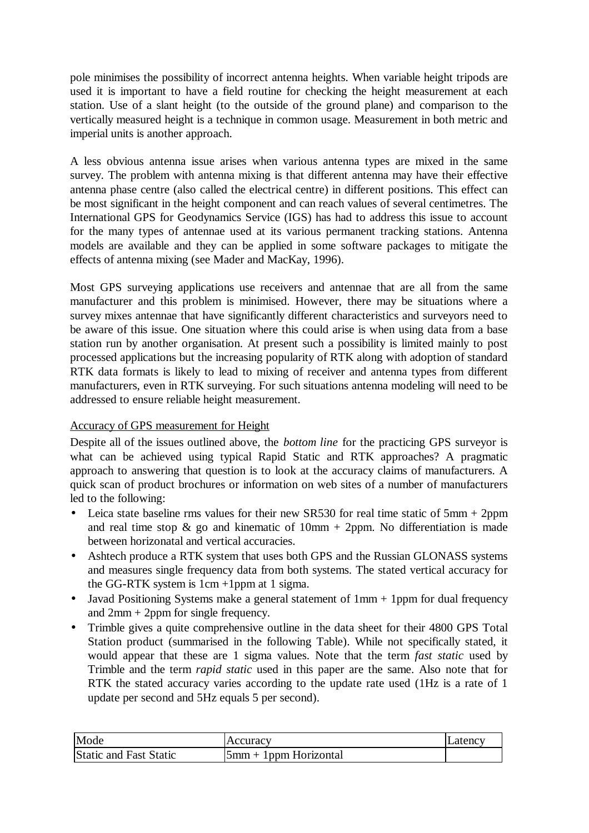pole minimises the possibility of incorrect antenna heights. When variable height tripods are used it is important to have a field routine for checking the height measurement at each station. Use of a slant height (to the outside of the ground plane) and comparison to the vertically measured height is a technique in common usage. Measurement in both metric and imperial units is another approach.

A less obvious antenna issue arises when various antenna types are mixed in the same survey. The problem with antenna mixing is that different antenna may have their effective antenna phase centre (also called the electrical centre) in different positions. This effect can be most significant in the height component and can reach values of several centimetres. The International GPS for Geodynamics Service (IGS) has had to address this issue to account for the many types of antennae used at its various permanent tracking stations. Antenna models are available and they can be applied in some software packages to mitigate the effects of antenna mixing (see Mader and MacKay, 1996).

Most GPS surveying applications use receivers and antennae that are all from the same manufacturer and this problem is minimised. However, there may be situations where a survey mixes antennae that have significantly different characteristics and surveyors need to be aware of this issue. One situation where this could arise is when using data from a base station run by another organisation. At present such a possibility is limited mainly to post processed applications but the increasing popularity of RTK along with adoption of standard RTK data formats is likely to lead to mixing of receiver and antenna types from different manufacturers, even in RTK surveying. For such situations antenna modeling will need to be addressed to ensure reliable height measurement.

# Accuracy of GPS measurement for Height

Despite all of the issues outlined above, the *bottom line* for the practicing GPS surveyor is what can be achieved using typical Rapid Static and RTK approaches? A pragmatic approach to answering that question is to look at the accuracy claims of manufacturers. A quick scan of product brochures or information on web sites of a number of manufacturers led to the following:

- Leica state baseline rms values for their new SR530 for real time static of 5mm + 2ppm and real time stop  $\&$  go and kinematic of 10mm + 2ppm. No differentiation is made between horizonatal and vertical accuracies.
- Ashtech produce a RTK system that uses both GPS and the Russian GLONASS systems and measures single frequency data from both systems. The stated vertical accuracy for the GG-RTK system is 1cm +1ppm at 1 sigma.
- Javad Positioning Systems make a general statement of 1mm + 1ppm for dual frequency and  $2mm + 2ppm$  for single frequency.
- Trimble gives a quite comprehensive outline in the data sheet for their 4800 GPS Total Station product (summarised in the following Table). While not specifically stated, it would appear that these are 1 sigma values. Note that the term *fast static* used by Trimble and the term *rapid static* used in this paper are the same. Also note that for RTK the stated accuracy varies according to the update rate used (1Hz is a rate of 1 update per second and 5Hz equals 5 per second).

| Mode                          | Accuracv                | <b>Latency</b> |
|-------------------------------|-------------------------|----------------|
| <b>Static and Fast Static</b> | $5mm + 1ppm$ Horizontal |                |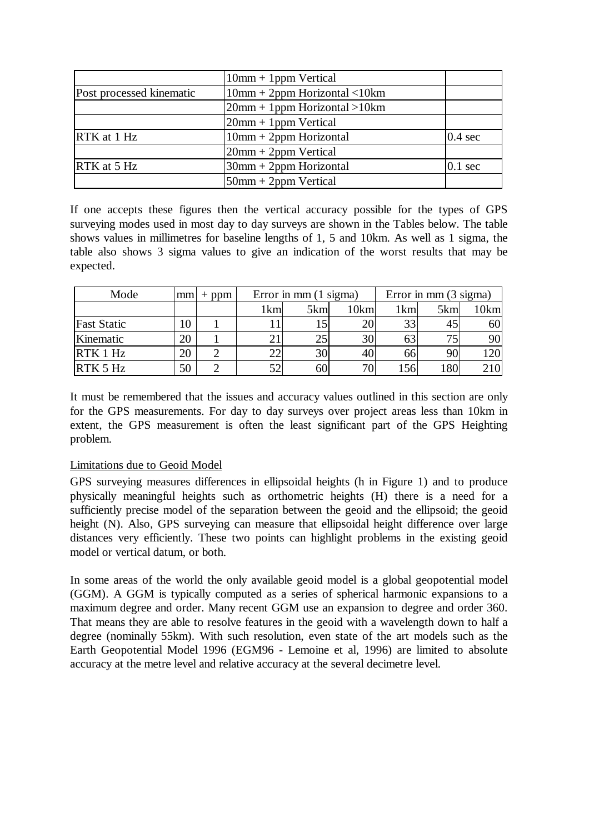|                                 | $10mm + 1ppm$ Vertical          |                   |  |  |  |
|---------------------------------|---------------------------------|-------------------|--|--|--|
| Post processed kinematic        | $10mm + 2ppm$ Horizontal < 10km |                   |  |  |  |
|                                 | $20mm + 1ppm$ Horizontal > 10km |                   |  |  |  |
|                                 | $20$ mm + 1 ppm Vertical        |                   |  |  |  |
| $\overline{\text{RTK}}$ at 1 Hz | $10mm + 2ppm$ Horizontal        | $0.4 \text{ sec}$ |  |  |  |
|                                 | $20mm + 2ppm$ Vertical          |                   |  |  |  |
| $\overline{\text{RTK}}$ at 5 Hz | $30$ mm + $2$ ppm Horizontal    | $0.1 \text{ sec}$ |  |  |  |
|                                 | $50$ mm + 2ppm Vertical         |                   |  |  |  |

If one accepts these figures then the vertical accuracy possible for the types of GPS surveying modes used in most day to day surveys are shown in the Tables below. The table shows values in millimetres for baseline lengths of 1, 5 and 10km. As well as 1 sigma, the table also shows 3 sigma values to give an indication of the worst results that may be expected.

| Mode               |    | $mm$ + ppm | Error in mm $(1 \text{ sigma})$ |     |                 | Error in mm $(3 \text{ sigma})$ |     |      |
|--------------------|----|------------|---------------------------------|-----|-----------------|---------------------------------|-----|------|
|                    |    |            | 1km                             | 5km | 10km            | 1km                             | 5km | 10km |
| <b>Fast Static</b> | 10 |            |                                 |     | 20              | 33                              | 45  | 60   |
| Kinematic          | 20 |            |                                 |     | 30              | 63                              | 75  | 90   |
| RTK1Hz             | 20 |            | ΩΩ                              | 30  | 40              | 66                              | 90  |      |
| $RTK$ 5 Hz         | 50 |            |                                 | 60  | 70 <sub>1</sub> | 156                             | 180 |      |

It must be remembered that the issues and accuracy values outlined in this section are only for the GPS measurements. For day to day surveys over project areas less than 10km in extent, the GPS measurement is often the least significant part of the GPS Heighting problem.

### Limitations due to Geoid Model

GPS surveying measures differences in ellipsoidal heights (h in Figure 1) and to produce physically meaningful heights such as orthometric heights (H) there is a need for a sufficiently precise model of the separation between the geoid and the ellipsoid; the geoid height (N). Also, GPS surveying can measure that ellipsoidal height difference over large distances very efficiently. These two points can highlight problems in the existing geoid model or vertical datum, or both.

In some areas of the world the only available geoid model is a global geopotential model (GGM). A GGM is typically computed as a series of spherical harmonic expansions to a maximum degree and order. Many recent GGM use an expansion to degree and order 360. That means they are able to resolve features in the geoid with a wavelength down to half a degree (nominally 55km). With such resolution, even state of the art models such as the Earth Geopotential Model 1996 (EGM96 - Lemoine et al, 1996) are limited to absolute accuracy at the metre level and relative accuracy at the several decimetre level.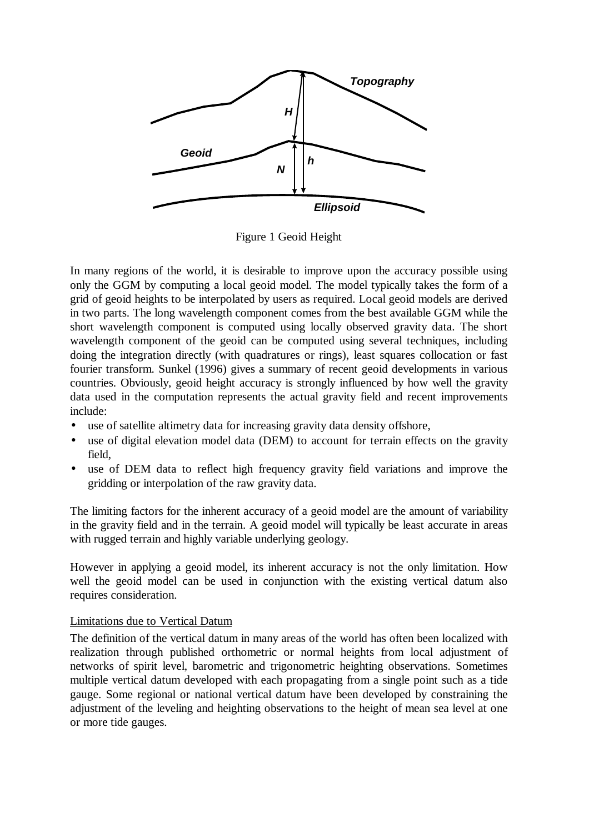

Figure 1 Geoid Height

In many regions of the world, it is desirable to improve upon the accuracy possible using only the GGM by computing a local geoid model. The model typically takes the form of a grid of geoid heights to be interpolated by users as required. Local geoid models are derived in two parts. The long wavelength component comes from the best available GGM while the short wavelength component is computed using locally observed gravity data. The short wavelength component of the geoid can be computed using several techniques, including doing the integration directly (with quadratures or rings), least squares collocation or fast fourier transform. Sunkel (1996) gives a summary of recent geoid developments in various countries. Obviously, geoid height accuracy is strongly influenced by how well the gravity data used in the computation represents the actual gravity field and recent improvements include:

- use of satellite altimetry data for increasing gravity data density offshore,
- use of digital elevation model data (DEM) to account for terrain effects on the gravity field,
- use of DEM data to reflect high frequency gravity field variations and improve the gridding or interpolation of the raw gravity data.

The limiting factors for the inherent accuracy of a geoid model are the amount of variability in the gravity field and in the terrain. A geoid model will typically be least accurate in areas with rugged terrain and highly variable underlying geology.

However in applying a geoid model, its inherent accuracy is not the only limitation. How well the geoid model can be used in conjunction with the existing vertical datum also requires consideration.

# Limitations due to Vertical Datum

The definition of the vertical datum in many areas of the world has often been localized with realization through published orthometric or normal heights from local adjustment of networks of spirit level, barometric and trigonometric heighting observations. Sometimes multiple vertical datum developed with each propagating from a single point such as a tide gauge. Some regional or national vertical datum have been developed by constraining the adjustment of the leveling and heighting observations to the height of mean sea level at one or more tide gauges.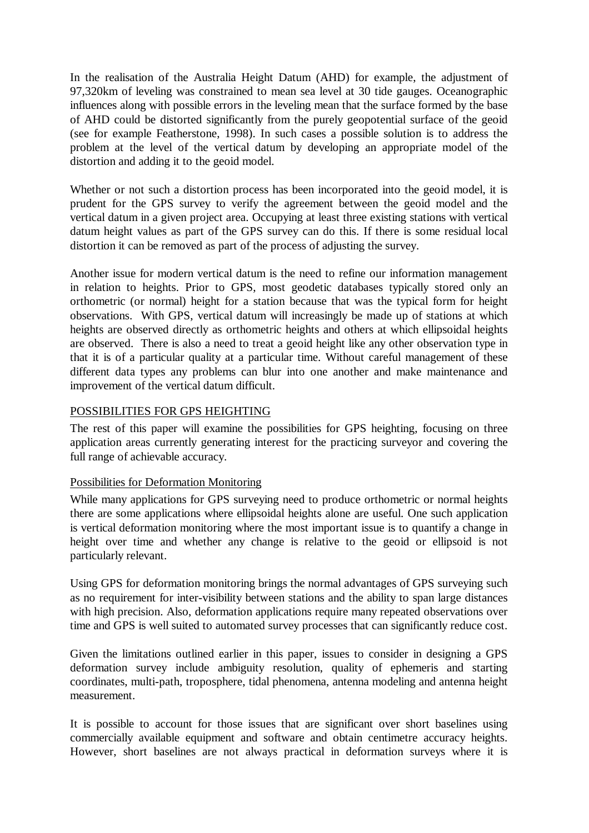In the realisation of the Australia Height Datum (AHD) for example, the adjustment of 97,320km of leveling was constrained to mean sea level at 30 tide gauges. Oceanographic influences along with possible errors in the leveling mean that the surface formed by the base of AHD could be distorted significantly from the purely geopotential surface of the geoid (see for example Featherstone, 1998). In such cases a possible solution is to address the problem at the level of the vertical datum by developing an appropriate model of the distortion and adding it to the geoid model.

Whether or not such a distortion process has been incorporated into the geoid model, it is prudent for the GPS survey to verify the agreement between the geoid model and the vertical datum in a given project area. Occupying at least three existing stations with vertical datum height values as part of the GPS survey can do this. If there is some residual local distortion it can be removed as part of the process of adjusting the survey.

Another issue for modern vertical datum is the need to refine our information management in relation to heights. Prior to GPS, most geodetic databases typically stored only an orthometric (or normal) height for a station because that was the typical form for height observations. With GPS, vertical datum will increasingly be made up of stations at which heights are observed directly as orthometric heights and others at which ellipsoidal heights are observed. There is also a need to treat a geoid height like any other observation type in that it is of a particular quality at a particular time. Without careful management of these different data types any problems can blur into one another and make maintenance and improvement of the vertical datum difficult.

# POSSIBILITIES FOR GPS HEIGHTING

The rest of this paper will examine the possibilities for GPS heighting, focusing on three application areas currently generating interest for the practicing surveyor and covering the full range of achievable accuracy.

### Possibilities for Deformation Monitoring

While many applications for GPS surveying need to produce orthometric or normal heights there are some applications where ellipsoidal heights alone are useful. One such application is vertical deformation monitoring where the most important issue is to quantify a change in height over time and whether any change is relative to the geoid or ellipsoid is not particularly relevant.

Using GPS for deformation monitoring brings the normal advantages of GPS surveying such as no requirement for inter-visibility between stations and the ability to span large distances with high precision. Also, deformation applications require many repeated observations over time and GPS is well suited to automated survey processes that can significantly reduce cost.

Given the limitations outlined earlier in this paper, issues to consider in designing a GPS deformation survey include ambiguity resolution, quality of ephemeris and starting coordinates, multi-path, troposphere, tidal phenomena, antenna modeling and antenna height measurement.

It is possible to account for those issues that are significant over short baselines using commercially available equipment and software and obtain centimetre accuracy heights. However, short baselines are not always practical in deformation surveys where it is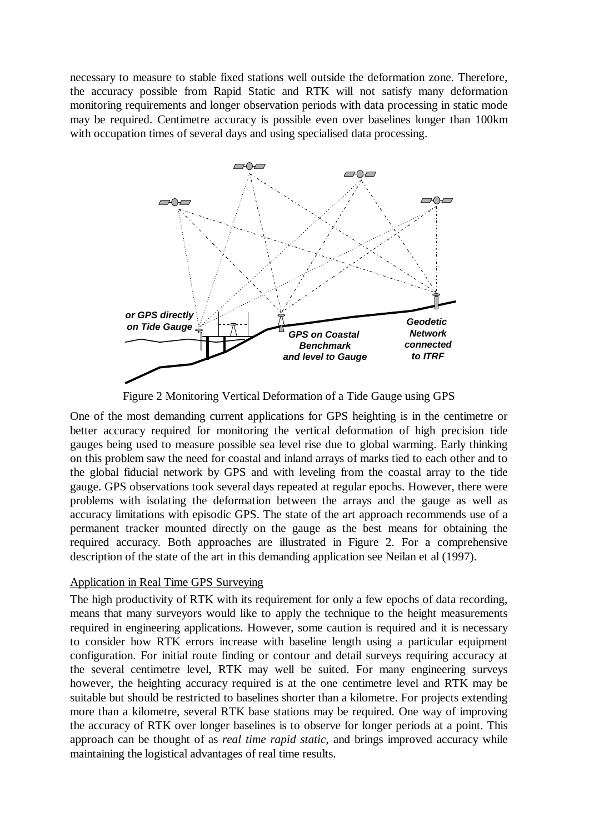necessary to measure to stable fixed stations well outside the deformation zone. Therefore, the accuracy possible from Rapid Static and RTK will not satisfy many deformation monitoring requirements and longer observation periods with data processing in static mode may be required. Centimetre accuracy is possible even over baselines longer than 100km with occupation times of several days and using specialised data processing.



Figure 2 Monitoring Vertical Deformation of a Tide Gauge using GPS

One of the most demanding current applications for GPS heighting is in the centimetre or better accuracy required for monitoring the vertical deformation of high precision tide gauges being used to measure possible sea level rise due to global warming. Early thinking on this problem saw the need for coastal and inland arrays of marks tied to each other and to the global fiducial network by GPS and with leveling from the coastal array to the tide gauge. GPS observations took several days repeated at regular epochs. However, there were problems with isolating the deformation between the arrays and the gauge as well as accuracy limitations with episodic GPS. The state of the art approach recommends use of a permanent tracker mounted directly on the gauge as the best means for obtaining the required accuracy. Both approaches are illustrated in Figure 2. For a comprehensive description of the state of the art in this demanding application see Neilan et al (1997).

#### Application in Real Time GPS Surveying

The high productivity of RTK with its requirement for only a few epochs of data recording, means that many surveyors would like to apply the technique to the height measurements required in engineering applications. However, some caution is required and it is necessary to consider how RTK errors increase with baseline length using a particular equipment configuration. For initial route finding or contour and detail surveys requiring accuracy at the several centimetre level, RTK may well be suited. For many engineering surveys however, the heighting accuracy required is at the one centimetre level and RTK may be suitable but should be restricted to baselines shorter than a kilometre. For projects extending more than a kilometre, several RTK base stations may be required. One way of improving the accuracy of RTK over longer baselines is to observe for longer periods at a point. This approach can be thought of as *real time rapid static*, and brings improved accuracy while maintaining the logistical advantages of real time results.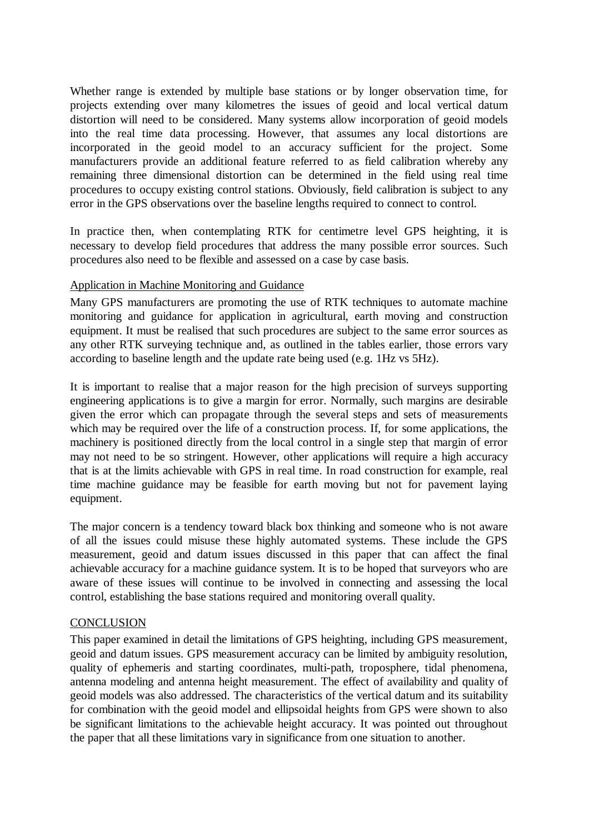Whether range is extended by multiple base stations or by longer observation time, for projects extending over many kilometres the issues of geoid and local vertical datum distortion will need to be considered. Many systems allow incorporation of geoid models into the real time data processing. However, that assumes any local distortions are incorporated in the geoid model to an accuracy sufficient for the project. Some manufacturers provide an additional feature referred to as field calibration whereby any remaining three dimensional distortion can be determined in the field using real time procedures to occupy existing control stations. Obviously, field calibration is subject to any error in the GPS observations over the baseline lengths required to connect to control.

In practice then, when contemplating RTK for centimetre level GPS heighting, it is necessary to develop field procedures that address the many possible error sources. Such procedures also need to be flexible and assessed on a case by case basis.

# Application in Machine Monitoring and Guidance

Many GPS manufacturers are promoting the use of RTK techniques to automate machine monitoring and guidance for application in agricultural, earth moving and construction equipment. It must be realised that such procedures are subject to the same error sources as any other RTK surveying technique and, as outlined in the tables earlier, those errors vary according to baseline length and the update rate being used (e.g. 1Hz vs 5Hz).

It is important to realise that a major reason for the high precision of surveys supporting engineering applications is to give a margin for error. Normally, such margins are desirable given the error which can propagate through the several steps and sets of measurements which may be required over the life of a construction process. If, for some applications, the machinery is positioned directly from the local control in a single step that margin of error may not need to be so stringent. However, other applications will require a high accuracy that is at the limits achievable with GPS in real time. In road construction for example, real time machine guidance may be feasible for earth moving but not for pavement laying equipment.

The major concern is a tendency toward black box thinking and someone who is not aware of all the issues could misuse these highly automated systems. These include the GPS measurement, geoid and datum issues discussed in this paper that can affect the final achievable accuracy for a machine guidance system. It is to be hoped that surveyors who are aware of these issues will continue to be involved in connecting and assessing the local control, establishing the base stations required and monitoring overall quality.

#### **CONCLUSION**

This paper examined in detail the limitations of GPS heighting, including GPS measurement, geoid and datum issues. GPS measurement accuracy can be limited by ambiguity resolution, quality of ephemeris and starting coordinates, multi-path, troposphere, tidal phenomena, antenna modeling and antenna height measurement. The effect of availability and quality of geoid models was also addressed. The characteristics of the vertical datum and its suitability for combination with the geoid model and ellipsoidal heights from GPS were shown to also be significant limitations to the achievable height accuracy. It was pointed out throughout the paper that all these limitations vary in significance from one situation to another.